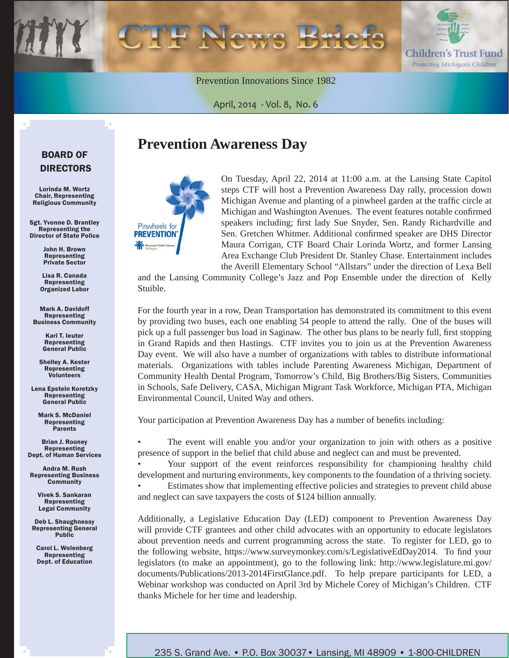

Prevention Innovations Since 1982

April, 2014 - Vol. 8, No. 6

## BOARD OF DIRECTORS

Lorinda M. Wortz Chair, Representing Religious Community

Sgt. Yvonne D. Brantley Representing the Director of State Police

> John H. Brown Representing Private Sector

Lisa R. Canada Representing Organized Labor

Mark A. Davidoff Representing Business Community

> Karl T. Ieuter Representing General Public

Shelley A. Kester Representing Volunteers

Lena Epstein Koretzky Representing General Public

Mark S. McDaniel Representing Parents

Brian J. Rooney Representing Dept. of Human Services

Andra M. Rush Representing Business **Community** 

> Vivek S. Sankaran Representing Legal Community

Deb L. Shaughnessy Representing General **Public** 

Carol L. Wolenberg Representing Dept. of Education

## **Prevention Awareness Day**



On Tuesday, April 22, 2014 at 11:00 a.m. at the Lansing State Capitol steps CTF will host a Prevention Awareness Day rally, procession down Michigan Avenue and planting of a pinwheel garden at the traffic circle at Michigan and Washington Avenues. The event features notable confirmed speakers including; first lady Sue Snyder, Sen. Randy Richardville and Sen. Gretchen Whitmer. Additional confirmed speaker are DHS Director Maura Corrigan, CTF Board Chair Lorinda Wortz, and former Lansing Area Exchange Club President Dr. Stanley Chase. Entertainment includes the Averill Elementary School "Allstars" under the direction of Lexa Bell

and the Lansing Community College's Jazz and Pop Ensemble under the direction of Kelly Stuible.

For the fourth year in a row, Dean Transportation has demonstrated its commitment to this event by providing two buses, each one enabling 54 people to attend the rally. One of the buses will pick up a full passenger bus load in Saginaw. The other bus plans to be nearly full, first stopping in Grand Rapids and then Hastings. CTF invites you to join us at the Prevention Awareness Day event. We will also have a number of organizations with tables to distribute informational materials. Organizations with tables include Parenting Awareness Michigan, Department of Community Health Dental Program, Tomorrow's Child, Big Brothers/Big Sisters, Communities in Schools, Safe Delivery, CASA, Michigan Migrant Task Workforce, Michigan PTA, Michigan Environmental Council, United Way and others.

Your participation at Prevention Awareness Day has a number of benefits including:

• The event will enable you and/or your organization to join with others as a positive presence of support in the belief that child abuse and neglect can and must be prevented.

• Your support of the event reinforces responsibility for championing healthy child development and nurturing environments, key components to the foundation of a thriving society.

• Estimates show that implementing effective policies and strategies to prevent child abuse and neglect can save taxpayers the costs of \$124 billion annually.

Additionally, a Legislative Education Day (LED) component to Prevention Awareness Day will provide CTF grantees and other child advocates with an opportunity to educate legislators about prevention needs and current programming across the state. To register for LED, go to the following website, https://www.surveymonkey.com/s/LegislativeEdDay2014. To find your [legislators \(to make an appointment\), go to the following link: http://www.legislature.mi.gov/](http://www.legislature.mi.gov/documents/Publications/2013-2014FirstGlance.pdf) documents/Publications/2013-2014FirstGlance.pdf. To help prepare participants for LED, a Webinar workshop was conducted on April 3rd by Michele Corey of Michigan's Children. CTF thanks Michele for her time and leadership.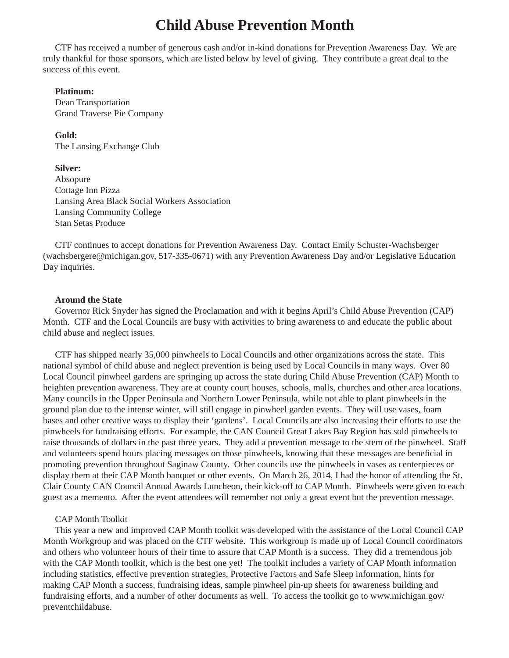## **Child Abuse Prevention Month**

CTF has received a number of generous cash and/or in-kind donations for Prevention Awareness Day. We are truly thankful for those sponsors, which are listed below by level of giving. They contribute a great deal to the success of this event.

### **Platinum:**

Dean Transportation Grand Traverse Pie Company

**Gold:** The Lansing Exchange Club

#### **Silver:**

Absopure Cottage Inn Pizza Lansing Area Black Social Workers Association Lansing Community College Stan Setas Produce

CTF continues to accept donations for Prevention Awareness Day. Contact Emily Schuster-Wachsberger (wachsbergere@michigan.gov, 517-335-0671) with any Prevention Awareness Day and/or Legislative Education Day inquiries.

#### **Around the State**

Governor Rick Snyder has signed the Proclamation and with it begins April's Child Abuse Prevention (CAP) Month. CTF and the Local Councils are busy with activities to bring awareness to and educate the public about child abuse and neglect issues.

CTF has shipped nearly 35,000 pinwheels to Local Councils and other organizations across the state. This national symbol of child abuse and neglect prevention is being used by Local Councils in many ways. Over 80 Local Council pinwheel gardens are springing up across the state during Child Abuse Prevention (CAP) Month to heighten prevention awareness. They are at county court houses, schools, malls, churches and other area locations. Many councils in the Upper Peninsula and Northern Lower Peninsula, while not able to plant pinwheels in the ground plan due to the intense winter, will still engage in pinwheel garden events. They will use vases, foam bases and other creative ways to display their 'gardens'. Local Councils are also increasing their efforts to use the pinwheels for fundraising efforts. For example, the CAN Council Great Lakes Bay Region has sold pinwheels to raise thousands of dollars in the past three years. They add a prevention message to the stem of the pinwheel. Staff and volunteers spend hours placing messages on those pinwheels, knowing that these messages are beneficial in promoting prevention throughout Saginaw County. Other councils use the pinwheels in vases as centerpieces or display them at their CAP Month banquet or other events. On March 26, 2014, I had the honor of attending the St. Clair County CAN Council Annual Awards Luncheon, their kick-off to CAP Month. Pinwheels were given to each guest as a memento. After the event attendees will remember not only a great event but the prevention message.

### CAP Month Toolkit

This year a new and improved CAP Month toolkit was developed with the assistance of the Local Council CAP Month Workgroup and was placed on the CTF website. This workgroup is made up of Local Council coordinators and others who volunteer hours of their time to assure that CAP Month is a success. They did a tremendous job with the CAP Month toolkit, which is the best one yet! The toolkit includes a variety of CAP Month information including statistics, effective prevention strategies, Protective Factors and Safe Sleep information, hints for making CAP Month a success, fundraising ideas, sample pinwheel pin-up sheets for awareness building and [fundraising efforts, and a number of other documents as well. To access the toolkit go to www.michigan.gov/](www.michigan.gov/preventchildabuse) preventchildabuse.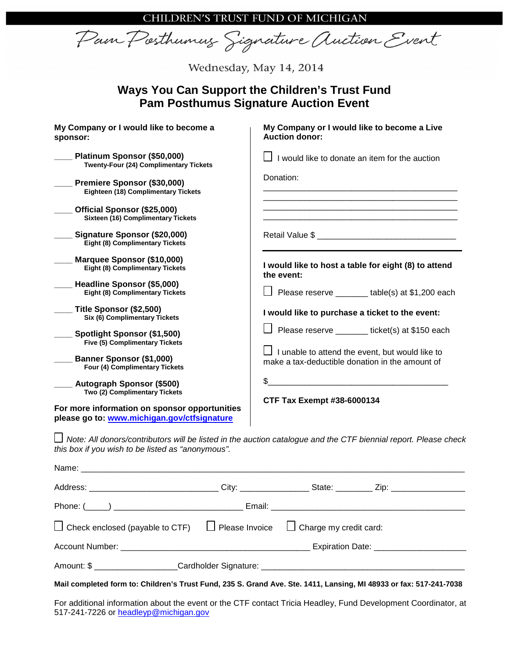CHILDREN'S TRUST FUND OF MICHIGAN

Pain Posthumus Signature Auction Event

Wednesday, May 14, 2014

## **Ways You Can Support the Children's Trust Fund Pam Posthumus Signature Auction Event**

| My Company or I would like to become a<br>sponsor:                                           | My Company or I would like to become a Live<br><b>Auction donor:</b>                                                  |  |  |
|----------------------------------------------------------------------------------------------|-----------------------------------------------------------------------------------------------------------------------|--|--|
| Platinum Sponsor (\$50,000)<br><b>Twenty-Four (24) Complimentary Tickets</b>                 | I would like to donate an item for the auction                                                                        |  |  |
| Premiere Sponsor (\$30,000)<br>Eighteen (18) Complimentary Tickets                           | Donation:                                                                                                             |  |  |
| Official Sponsor (\$25,000)<br><b>Sixteen (16) Complimentary Tickets</b>                     | <u> 1980 - Johann Barbara, martxa alemaniar amerikan basar da da a shekara a shekara a shekara a shekara a shekar</u> |  |  |
| Signature Sponsor (\$20,000)<br>Eight (8) Complimentary Tickets                              |                                                                                                                       |  |  |
| Marquee Sponsor (\$10,000)<br><b>Eight (8) Complimentary Tickets</b>                         | I would like to host a table for eight (8) to attend<br>the event:                                                    |  |  |
| Headline Sponsor (\$5,000)<br><b>Eight (8) Complimentary Tickets</b>                         | $\Box$ Please reserve ________ table(s) at \$1,200 each                                                               |  |  |
| Title Sponsor (\$2,500)<br>Six (6) Complimentary Tickets                                     | I would like to purchase a ticket to the event:                                                                       |  |  |
| Spotlight Sponsor (\$1,500)<br><b>Five (5) Complimentary Tickets</b>                         | Please reserve ________ ticket(s) at \$150 each                                                                       |  |  |
| <b>Banner Sponsor (\$1,000)</b><br>Four (4) Complimentary Tickets                            | $\Box$ I unable to attend the event, but would like to<br>make a tax-deductible donation in the amount of<br>\$       |  |  |
| <b>Autograph Sponsor (\$500)</b><br>Two (2) Complimentary Tickets                            |                                                                                                                       |  |  |
| For more information on sponsor opportunities<br>please go to: www.michigan.gov/ctfsignature | <b>CTF Tax Exempt #38-6000134</b>                                                                                     |  |  |
| this box if you wish to be listed as "anonymous".                                            | Note: All donors/contributors will be listed in the auction catalogue and the CTF biennial report. Please check       |  |  |
| Name:                                                                                        |                                                                                                                       |  |  |

| $\Box$ Check enclosed (payable to CTF) $\Box$ Please Invoice $\Box$ Charge my credit card:                         |  |  |  |
|--------------------------------------------------------------------------------------------------------------------|--|--|--|
|                                                                                                                    |  |  |  |
|                                                                                                                    |  |  |  |
| Mail completed form to: Children's Trust Fund, 235 S. Grand Ave. Ste. 1411, Lansing, MI 48933 or fax: 517-241-7038 |  |  |  |

For additional information about the event or the CTF contact Tricia Headley, Fund Development Coordinator, at 517-241-7226 or headleyp@michigan.gov